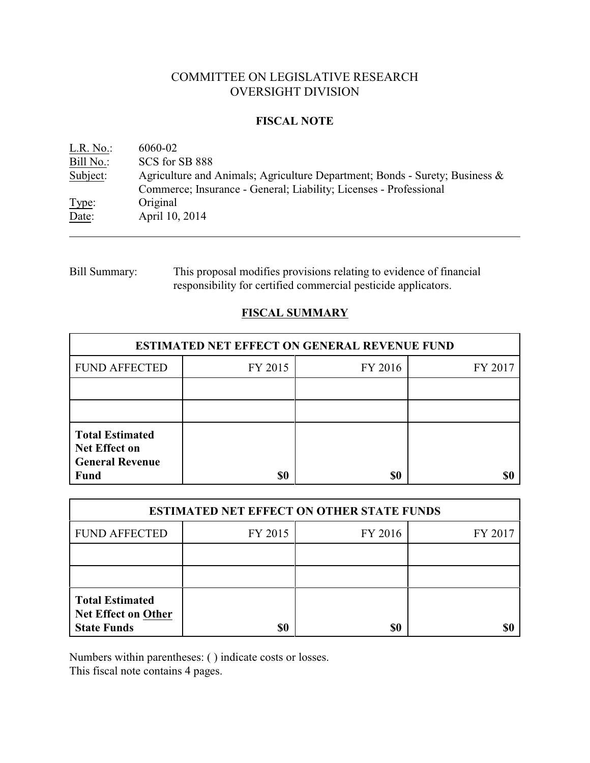# COMMITTEE ON LEGISLATIVE RESEARCH OVERSIGHT DIVISION

### **FISCAL NOTE**

| L.R. No.       | 6060-02                                                                                                                                             |
|----------------|-----------------------------------------------------------------------------------------------------------------------------------------------------|
| Bill No.:      | SCS for SB 888                                                                                                                                      |
| Subject:       | Agriculture and Animals; Agriculture Department; Bonds - Surety; Business $\&$<br>Commerce; Insurance - General; Liability; Licenses - Professional |
| Type:<br>Date: | Original<br>April 10, 2014                                                                                                                          |

# Bill Summary: This proposal modifies provisions relating to evidence of financial responsibility for certified commercial pesticide applicators.

# **FISCAL SUMMARY**

| <b>ESTIMATED NET EFFECT ON GENERAL REVENUE FUND</b>                                     |         |         |         |  |
|-----------------------------------------------------------------------------------------|---------|---------|---------|--|
| <b>FUND AFFECTED</b>                                                                    | FY 2015 | FY 2016 | FY 2017 |  |
|                                                                                         |         |         |         |  |
|                                                                                         |         |         |         |  |
| <b>Total Estimated</b><br><b>Net Effect on</b><br><b>General Revenue</b><br><b>Fund</b> | \$0     | \$0     |         |  |

| <b>ESTIMATED NET EFFECT ON OTHER STATE FUNDS</b>                           |         |         |         |  |
|----------------------------------------------------------------------------|---------|---------|---------|--|
| <b>FUND AFFECTED</b>                                                       | FY 2015 | FY 2016 | FY 2017 |  |
|                                                                            |         |         |         |  |
|                                                                            |         |         |         |  |
| <b>Total Estimated</b><br><b>Net Effect on Other</b><br><b>State Funds</b> | \$0     | \$0     |         |  |

Numbers within parentheses: ( ) indicate costs or losses.

This fiscal note contains 4 pages.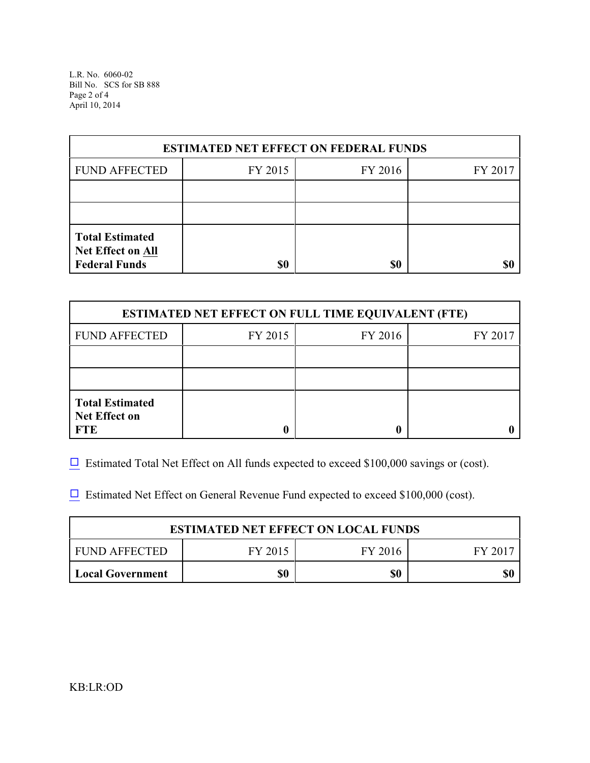L.R. No. 6060-02 Bill No. SCS for SB 888 Page 2 of 4 April 10, 2014

| <b>ESTIMATED NET EFFECT ON FEDERAL FUNDS</b>                        |         |         |         |  |
|---------------------------------------------------------------------|---------|---------|---------|--|
| <b>FUND AFFECTED</b>                                                | FY 2015 | FY 2016 | FY 2017 |  |
|                                                                     |         |         |         |  |
|                                                                     |         |         |         |  |
| <b>Total Estimated</b><br>Net Effect on All<br><b>Federal Funds</b> | \$0     | \$0     |         |  |

| <b>ESTIMATED NET EFFECT ON FULL TIME EQUIVALENT (FTE)</b>    |         |         |         |  |
|--------------------------------------------------------------|---------|---------|---------|--|
| <b>FUND AFFECTED</b>                                         | FY 2015 | FY 2016 | FY 2017 |  |
|                                                              |         |         |         |  |
|                                                              |         |         |         |  |
| <b>Total Estimated</b><br><b>Net Effect on</b><br><b>FTE</b> |         |         |         |  |

 $\Box$  Estimated Total Net Effect on All funds expected to exceed \$100,000 savings or (cost).

 $\Box$  Estimated Net Effect on General Revenue Fund expected to exceed \$100,000 (cost).

| <b>ESTIMATED NET EFFECT ON LOCAL FUNDS</b> |         |         |       |  |
|--------------------------------------------|---------|---------|-------|--|
| FUND AFFECTED                              | FY 2015 | FY 2016 | FV 20 |  |
| <b>Local Government</b>                    | \$0     | \$0     |       |  |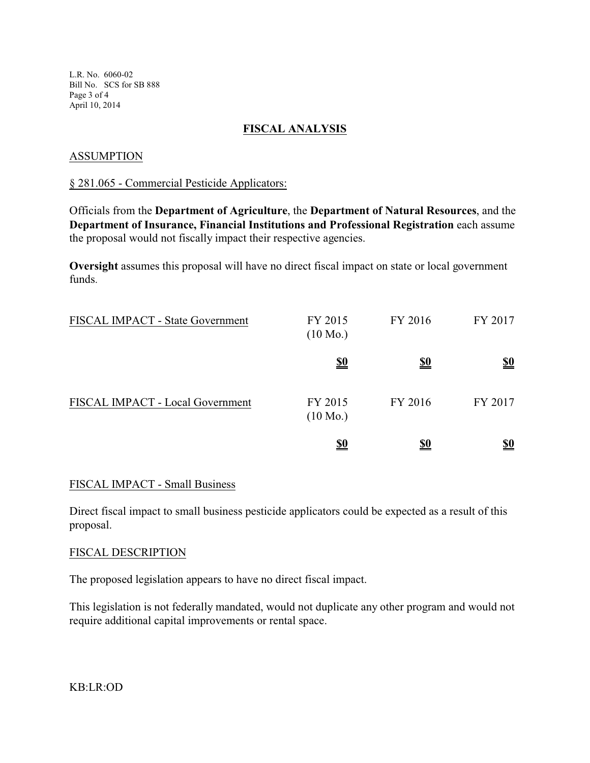L.R. No. 6060-02 Bill No. SCS for SB 888 Page 3 of 4 April 10, 2014

### **FISCAL ANALYSIS**

### ASSUMPTION

#### § 281.065 - Commercial Pesticide Applicators:

Officials from the **Department of Agriculture**, the **Department of Natural Resources**, and the **Department of Insurance, Financial Institutions and Professional Registration** each assume the proposal would not fiscally impact their respective agencies.

**Oversight** assumes this proposal will have no direct fiscal impact on state or local government funds.

| FISCAL IMPACT - State Government | FY 2015<br>$(10 \text{ Mo.})$ | FY 2016    | FY 2017                       |
|----------------------------------|-------------------------------|------------|-------------------------------|
|                                  | <u>\$0</u>                    | <u>\$0</u> | $\underline{\underline{\$0}}$ |
| FISCAL IMPACT - Local Government | FY 2015<br>$(10 \text{ Mo.})$ | FY 2016    | FY 2017                       |
|                                  | <u>\$0</u>                    | <u>\$0</u> | <u>\$0</u>                    |

### FISCAL IMPACT - Small Business

Direct fiscal impact to small business pesticide applicators could be expected as a result of this proposal.

### FISCAL DESCRIPTION

The proposed legislation appears to have no direct fiscal impact.

This legislation is not federally mandated, would not duplicate any other program and would not require additional capital improvements or rental space.

KB:LR:OD